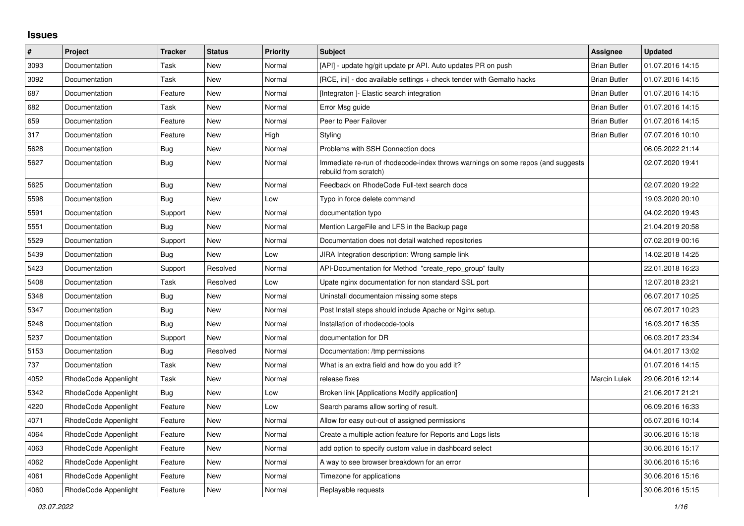## **Issues**

| $\#$ | Project              | <b>Tracker</b> | <b>Status</b> | <b>Priority</b> | <b>Subject</b>                                                                                           | Assignee            | <b>Updated</b>   |
|------|----------------------|----------------|---------------|-----------------|----------------------------------------------------------------------------------------------------------|---------------------|------------------|
| 3093 | Documentation        | Task           | New           | Normal          | [API] - update hg/git update pr API. Auto updates PR on push                                             | <b>Brian Butler</b> | 01.07.2016 14:15 |
| 3092 | Documentation        | Task           | New           | Normal          | [RCE, ini] - doc available settings + check tender with Gemalto hacks                                    | <b>Brian Butler</b> | 01.07.2016 14:15 |
| 687  | Documentation        | Feature        | New           | Normal          | [Integraton] - Elastic search integration                                                                | <b>Brian Butler</b> | 01.07.2016 14:15 |
| 682  | Documentation        | Task           | New           | Normal          | Error Msg guide                                                                                          | <b>Brian Butler</b> | 01.07.2016 14:15 |
| 659  | Documentation        | Feature        | New           | Normal          | Peer to Peer Failover                                                                                    | <b>Brian Butler</b> | 01.07.2016 14:15 |
| 317  | Documentation        | Feature        | New           | High            | Styling                                                                                                  | <b>Brian Butler</b> | 07.07.2016 10:10 |
| 5628 | Documentation        | Bug            | New           | Normal          | Problems with SSH Connection docs                                                                        |                     | 06.05.2022 21:14 |
| 5627 | Documentation        | <b>Bug</b>     | New           | Normal          | Immediate re-run of rhodecode-index throws warnings on some repos (and suggests<br>rebuild from scratch) |                     | 02.07.2020 19:41 |
| 5625 | Documentation        | <b>Bug</b>     | <b>New</b>    | Normal          | Feedback on RhodeCode Full-text search docs                                                              |                     | 02.07.2020 19:22 |
| 5598 | Documentation        | <b>Bug</b>     | New           | Low             | Typo in force delete command                                                                             |                     | 19.03.2020 20:10 |
| 5591 | Documentation        | Support        | <b>New</b>    | Normal          | documentation typo                                                                                       |                     | 04.02.2020 19:43 |
| 5551 | Documentation        | <b>Bug</b>     | New           | Normal          | Mention LargeFile and LFS in the Backup page                                                             |                     | 21.04.2019 20:58 |
| 5529 | Documentation        | Support        | New           | Normal          | Documentation does not detail watched repositories                                                       |                     | 07.02.2019 00:16 |
| 5439 | Documentation        | <b>Bug</b>     | <b>New</b>    | Low             | JIRA Integration description: Wrong sample link                                                          |                     | 14.02.2018 14:25 |
| 5423 | Documentation        | Support        | Resolved      | Normal          | API-Documentation for Method "create_repo_group" faulty                                                  |                     | 22.01.2018 16:23 |
| 5408 | Documentation        | Task           | Resolved      | Low             | Upate nginx documentation for non standard SSL port                                                      |                     | 12.07.2018 23:21 |
| 5348 | Documentation        | Bug            | New           | Normal          | Uninstall documentaion missing some steps                                                                |                     | 06.07.2017 10:25 |
| 5347 | Documentation        | Bug            | New           | Normal          | Post Install steps should include Apache or Nginx setup.                                                 |                     | 06.07.2017 10:23 |
| 5248 | Documentation        | <b>Bug</b>     | <b>New</b>    | Normal          | Installation of rhodecode-tools                                                                          |                     | 16.03.2017 16:35 |
| 5237 | Documentation        | Support        | New           | Normal          | documentation for DR                                                                                     |                     | 06.03.2017 23:34 |
| 5153 | Documentation        | <b>Bug</b>     | Resolved      | Normal          | Documentation: /tmp permissions                                                                          |                     | 04.01.2017 13:02 |
| 737  | Documentation        | Task           | New           | Normal          | What is an extra field and how do you add it?                                                            |                     | 01.07.2016 14:15 |
| 4052 | RhodeCode Appenlight | Task           | <b>New</b>    | Normal          | release fixes                                                                                            | <b>Marcin Lulek</b> | 29.06.2016 12:14 |
| 5342 | RhodeCode Appenlight | <b>Bug</b>     | <b>New</b>    | Low             | Broken link [Applications Modify application]                                                            |                     | 21.06.2017 21:21 |
| 4220 | RhodeCode Appenlight | Feature        | New           | Low             | Search params allow sorting of result.                                                                   |                     | 06.09.2016 16:33 |
| 4071 | RhodeCode Appenlight | Feature        | New           | Normal          | Allow for easy out-out of assigned permissions                                                           |                     | 05.07.2016 10:14 |
| 4064 | RhodeCode Appenlight | Feature        | New           | Normal          | Create a multiple action feature for Reports and Logs lists                                              |                     | 30.06.2016 15:18 |
| 4063 | RhodeCode Appenlight | Feature        | <b>New</b>    | Normal          | add option to specify custom value in dashboard select                                                   |                     | 30.06.2016 15:17 |
| 4062 | RhodeCode Appenlight | Feature        | <b>New</b>    | Normal          | A way to see browser breakdown for an error                                                              |                     | 30.06.2016 15:16 |
| 4061 | RhodeCode Appenlight | Feature        | <b>New</b>    | Normal          | Timezone for applications                                                                                |                     | 30.06.2016 15:16 |
| 4060 | RhodeCode Appenlight | Feature        | New           | Normal          | Replayable requests                                                                                      |                     | 30.06.2016 15:15 |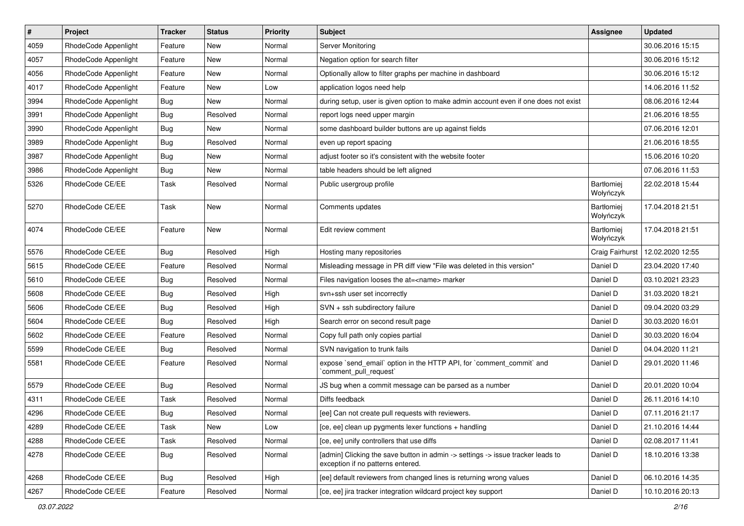| $\vert$ # | Project              | <b>Tracker</b> | <b>Status</b> | <b>Priority</b> | <b>Subject</b>                                                                                                       | <b>Assignee</b>                | <b>Updated</b>   |
|-----------|----------------------|----------------|---------------|-----------------|----------------------------------------------------------------------------------------------------------------------|--------------------------------|------------------|
| 4059      | RhodeCode Appenlight | Feature        | New           | Normal          | Server Monitoring                                                                                                    |                                | 30.06.2016 15:15 |
| 4057      | RhodeCode Appenlight | Feature        | New           | Normal          | Negation option for search filter                                                                                    |                                | 30.06.2016 15:12 |
| 4056      | RhodeCode Appenlight | Feature        | New           | Normal          | Optionally allow to filter graphs per machine in dashboard                                                           |                                | 30.06.2016 15:12 |
| 4017      | RhodeCode Appenlight | Feature        | New           | Low             | application logos need help                                                                                          |                                | 14.06.2016 11:52 |
| 3994      | RhodeCode Appenlight | Bug            | New           | Normal          | during setup, user is given option to make admin account even if one does not exist                                  |                                | 08.06.2016 12:44 |
| 3991      | RhodeCode Appenlight | <b>Bug</b>     | Resolved      | Normal          | report logs need upper margin                                                                                        |                                | 21.06.2016 18:55 |
| 3990      | RhodeCode Appenlight | Bug            | New           | Normal          | some dashboard builder buttons are up against fields                                                                 |                                | 07.06.2016 12:01 |
| 3989      | RhodeCode Appenlight | <b>Bug</b>     | Resolved      | Normal          | even up report spacing                                                                                               |                                | 21.06.2016 18:55 |
| 3987      | RhodeCode Appenlight | <b>Bug</b>     | New           | Normal          | adjust footer so it's consistent with the website footer                                                             |                                | 15.06.2016 10:20 |
| 3986      | RhodeCode Appenlight | <b>Bug</b>     | New           | Normal          | table headers should be left aligned                                                                                 |                                | 07.06.2016 11:53 |
| 5326      | RhodeCode CE/EE      | Task           | Resolved      | Normal          | Public usergroup profile                                                                                             | Bartłomiej<br>Wołyńczyk        | 22.02.2018 15:44 |
| 5270      | RhodeCode CE/EE      | Task           | New           | Normal          | Comments updates                                                                                                     | <b>Bartłomiej</b><br>Wołyńczyk | 17.04.2018 21:51 |
| 4074      | RhodeCode CE/EE      | Feature        | New           | Normal          | Edit review comment                                                                                                  | Bartłomiej<br>Wołyńczyk        | 17.04.2018 21:51 |
| 5576      | RhodeCode CE/EE      | Bug            | Resolved      | High            | Hosting many repositories                                                                                            | Craig Fairhurst                | 12.02.2020 12:55 |
| 5615      | RhodeCode CE/EE      | Feature        | Resolved      | Normal          | Misleading message in PR diff view "File was deleted in this version"                                                | Daniel D                       | 23.04.2020 17:40 |
| 5610      | RhodeCode CE/EE      | <b>Bug</b>     | Resolved      | Normal          | Files navigation looses the at= <name> marker</name>                                                                 | Daniel D                       | 03.10.2021 23:23 |
| 5608      | RhodeCode CE/EE      | <b>Bug</b>     | Resolved      | High            | svn+ssh user set incorrectly                                                                                         | Daniel D                       | 31.03.2020 18:21 |
| 5606      | RhodeCode CE/EE      | <b>Bug</b>     | Resolved      | High            | SVN + ssh subdirectory failure                                                                                       | Daniel D                       | 09.04.2020 03:29 |
| 5604      | RhodeCode CE/EE      | <b>Bug</b>     | Resolved      | High            | Search error on second result page                                                                                   | Daniel D                       | 30.03.2020 16:01 |
| 5602      | RhodeCode CE/EE      | Feature        | Resolved      | Normal          | Copy full path only copies partial                                                                                   | Daniel D                       | 30.03.2020 16:04 |
| 5599      | RhodeCode CE/EE      | Bug            | Resolved      | Normal          | SVN navigation to trunk fails                                                                                        | Daniel D                       | 04.04.2020 11:21 |
| 5581      | RhodeCode CE/EE      | Feature        | Resolved      | Normal          | expose `send_email` option in the HTTP API, for `comment_commit` and<br>`comment_pull_request`                       | Daniel D                       | 29.01.2020 11:46 |
| 5579      | RhodeCode CE/EE      | Bug            | Resolved      | Normal          | JS bug when a commit message can be parsed as a number                                                               | Daniel D                       | 20.01.2020 10:04 |
| 4311      | RhodeCode CE/EE      | Task           | Resolved      | Normal          | Diffs feedback                                                                                                       | Daniel D                       | 26.11.2016 14:10 |
| 4296      | RhodeCode CE/EE      | <b>Bug</b>     | Resolved      | Normal          | [ee] Can not create pull requests with reviewers.                                                                    | Daniel D                       | 07.11.2016 21:17 |
| 4289      | RhodeCode CE/EE      | Task           | New           | Low             | [ce, ee] clean up pygments lexer functions + handling                                                                | Daniel D                       | 21.10.2016 14:44 |
| 4288      | RhodeCode CE/EE      | Task           | Resolved      | Normal          | [ce, ee] unify controllers that use diffs                                                                            | Daniel D                       | 02.08.2017 11:41 |
| 4278      | RhodeCode CE/EE      | Bug            | Resolved      | Normal          | [admin] Clicking the save button in admin -> settings -> issue tracker leads to<br>exception if no patterns entered. | Daniel D                       | 18.10.2016 13:38 |
| 4268      | RhodeCode CE/EE      | Bug            | Resolved      | High            | [ee] default reviewers from changed lines is returning wrong values                                                  | Daniel D                       | 06.10.2016 14:35 |
| 4267      | RhodeCode CE/EE      | Feature        | Resolved      | Normal          | [ce, ee] jira tracker integration wildcard project key support                                                       | Daniel D                       | 10.10.2016 20:13 |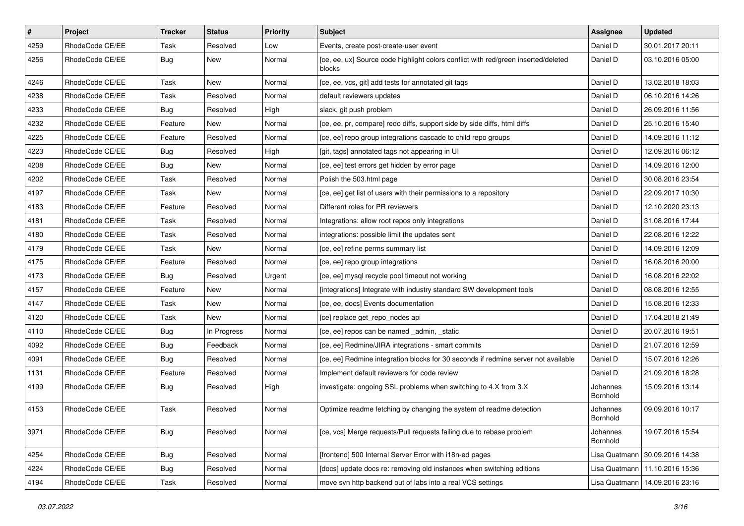| $\pmb{\#}$ | Project         | <b>Tracker</b> | <b>Status</b> | <b>Priority</b> | Subject                                                                                      | Assignee             | <b>Updated</b>                   |
|------------|-----------------|----------------|---------------|-----------------|----------------------------------------------------------------------------------------------|----------------------|----------------------------------|
| 4259       | RhodeCode CE/EE | Task           | Resolved      | Low             | Events, create post-create-user event                                                        | Daniel D             | 30.01.2017 20:11                 |
| 4256       | RhodeCode CE/EE | Bug            | New           | Normal          | [ce, ee, ux] Source code highlight colors conflict with red/green inserted/deleted<br>blocks | Daniel D             | 03.10.2016 05:00                 |
| 4246       | RhodeCode CE/EE | Task           | New           | Normal          | [ce, ee, vcs, git] add tests for annotated git tags                                          | Daniel D             | 13.02.2018 18:03                 |
| 4238       | RhodeCode CE/EE | Task           | Resolved      | Normal          | default reviewers updates                                                                    | Daniel D             | 06.10.2016 14:26                 |
| 4233       | RhodeCode CE/EE | <b>Bug</b>     | Resolved      | High            | slack, git push problem                                                                      | Daniel D             | 26.09.2016 11:56                 |
| 4232       | RhodeCode CE/EE | Feature        | New           | Normal          | [ce, ee, pr, compare] redo diffs, support side by side diffs, html diffs                     | Daniel D             | 25.10.2016 15:40                 |
| 4225       | RhodeCode CE/EE | Feature        | Resolved      | Normal          | [ce, ee] repo group integrations cascade to child repo groups                                | Daniel D             | 14.09.2016 11:12                 |
| 4223       | RhodeCode CE/EE | <b>Bug</b>     | Resolved      | High            | [git, tags] annotated tags not appearing in UI                                               | Daniel D             | 12.09.2016 06:12                 |
| 4208       | RhodeCode CE/EE | <b>Bug</b>     | <b>New</b>    | Normal          | [ce, ee] test errors get hidden by error page                                                | Daniel D             | 14.09.2016 12:00                 |
| 4202       | RhodeCode CE/EE | Task           | Resolved      | Normal          | Polish the 503.html page                                                                     | Daniel D             | 30.08.2016 23:54                 |
| 4197       | RhodeCode CE/EE | Task           | New           | Normal          | [ce, ee] get list of users with their permissions to a repository                            | Daniel D             | 22.09.2017 10:30                 |
| 4183       | RhodeCode CE/EE | Feature        | Resolved      | Normal          | Different roles for PR reviewers                                                             | Daniel D             | 12.10.2020 23:13                 |
| 4181       | RhodeCode CE/EE | Task           | Resolved      | Normal          | Integrations: allow root repos only integrations                                             | Daniel D             | 31.08.2016 17:44                 |
| 4180       | RhodeCode CE/EE | Task           | Resolved      | Normal          | integrations: possible limit the updates sent                                                | Daniel D             | 22.08.2016 12:22                 |
| 4179       | RhodeCode CE/EE | Task           | <b>New</b>    | Normal          | [ce, ee] refine perms summary list                                                           | Daniel D             | 14.09.2016 12:09                 |
| 4175       | RhodeCode CE/EE | Feature        | Resolved      | Normal          | [ce, ee] repo group integrations                                                             | Daniel D             | 16.08.2016 20:00                 |
| 4173       | RhodeCode CE/EE | Bug            | Resolved      | Urgent          | [ce, ee] mysql recycle pool timeout not working                                              | Daniel D             | 16.08.2016 22:02                 |
| 4157       | RhodeCode CE/EE | Feature        | New           | Normal          | [integrations] Integrate with industry standard SW development tools                         | Daniel D             | 08.08.2016 12:55                 |
| 4147       | RhodeCode CE/EE | Task           | New           | Normal          | [ce, ee, docs] Events documentation                                                          | Daniel D             | 15.08.2016 12:33                 |
| 4120       | RhodeCode CE/EE | Task           | New           | Normal          | [ce] replace get_repo_nodes api                                                              | Daniel D             | 17.04.2018 21:49                 |
| 4110       | RhodeCode CE/EE | <b>Bug</b>     | In Progress   | Normal          | [ce, ee] repos can be named _admin, _static                                                  | Daniel D             | 20.07.2016 19:51                 |
| 4092       | RhodeCode CE/EE | <b>Bug</b>     | Feedback      | Normal          | [ce, ee] Redmine/JIRA integrations - smart commits                                           | Daniel D             | 21.07.2016 12:59                 |
| 4091       | RhodeCode CE/EE | Bug            | Resolved      | Normal          | [ce, ee] Redmine integration blocks for 30 seconds if redmine server not available           | Daniel D             | 15.07.2016 12:26                 |
| 1131       | RhodeCode CE/EE | Feature        | Resolved      | Normal          | Implement default reviewers for code review                                                  | Daniel D             | 21.09.2016 18:28                 |
| 4199       | RhodeCode CE/EE | Bug            | Resolved      | High            | investigate: ongoing SSL problems when switching to 4.X from 3.X                             | Johannes<br>Bornhold | 15.09.2016 13:14                 |
| 4153       | RhodeCode CE/EE | Task           | Resolved      | Normal          | Optimize readme fetching by changing the system of readme detection                          | Johannes<br>Bornhold | 09.09.2016 10:17                 |
| 3971       | RhodeCode CE/EE | <b>Bug</b>     | Resolved      | Normal          | [ce, vcs] Merge requests/Pull requests failing due to rebase problem                         | Johannes<br>Bornhold | 19.07.2016 15:54                 |
| 4254       | RhodeCode CE/EE | <b>Bug</b>     | Resolved      | Normal          | [frontend] 500 Internal Server Error with i18n-ed pages                                      | Lisa Quatmann        | 30.09.2016 14:38                 |
| 4224       | RhodeCode CE/EE | <b>Bug</b>     | Resolved      | Normal          | [docs] update docs re: removing old instances when switching editions                        |                      | Lisa Quatmann   11.10.2016 15:36 |
| 4194       | RhodeCode CE/EE | Task           | Resolved      | Normal          | move svn http backend out of labs into a real VCS settings                                   | Lisa Quatmann        | 14.09.2016 23:16                 |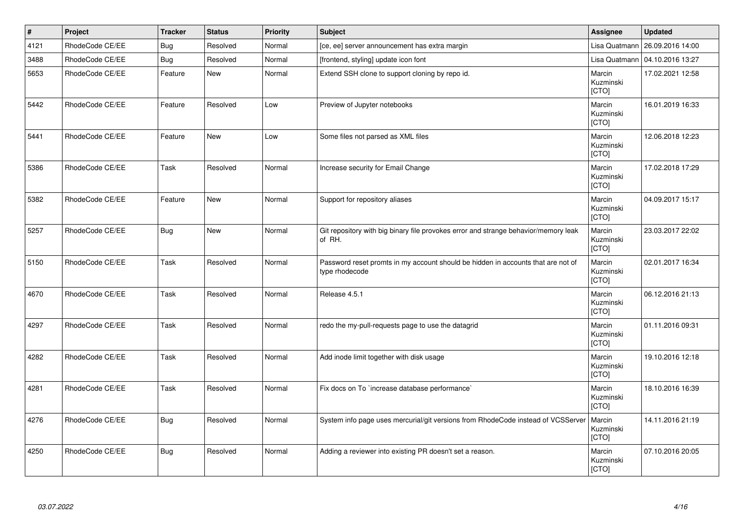| $\vert$ # | Project         | <b>Tracker</b> | <b>Status</b> | <b>Priority</b> | <b>Subject</b>                                                                                     | Assignee                     | <b>Updated</b>   |
|-----------|-----------------|----------------|---------------|-----------------|----------------------------------------------------------------------------------------------------|------------------------------|------------------|
| 4121      | RhodeCode CE/EE | Bug            | Resolved      | Normal          | [ce, ee] server announcement has extra margin                                                      | Lisa Quatmann                | 26.09.2016 14:00 |
| 3488      | RhodeCode CE/EE | Bug            | Resolved      | Normal          | [frontend, styling] update icon font                                                               | Lisa Quatmann                | 04.10.2016 13:27 |
| 5653      | RhodeCode CE/EE | Feature        | <b>New</b>    | Normal          | Extend SSH clone to support cloning by repo id.                                                    | Marcin<br>Kuzminski<br>[CTO] | 17.02.2021 12:58 |
| 5442      | RhodeCode CE/EE | Feature        | Resolved      | Low             | Preview of Jupyter notebooks                                                                       | Marcin<br>Kuzminski<br>[CTO] | 16.01.2019 16:33 |
| 5441      | RhodeCode CE/EE | Feature        | <b>New</b>    | Low             | Some files not parsed as XML files                                                                 | Marcin<br>Kuzminski<br>[CTO] | 12.06.2018 12:23 |
| 5386      | RhodeCode CE/EE | Task           | Resolved      | Normal          | Increase security for Email Change                                                                 | Marcin<br>Kuzminski<br>[CTO] | 17.02.2018 17:29 |
| 5382      | RhodeCode CE/EE | Feature        | <b>New</b>    | Normal          | Support for repository aliases                                                                     | Marcin<br>Kuzminski<br>[CTO] | 04.09.2017 15:17 |
| 5257      | RhodeCode CE/EE | Bug            | <b>New</b>    | Normal          | Git repository with big binary file provokes error and strange behavior/memory leak<br>of RH.      | Marcin<br>Kuzminski<br>[CTO] | 23.03.2017 22:02 |
| 5150      | RhodeCode CE/EE | Task           | Resolved      | Normal          | Password reset promts in my account should be hidden in accounts that are not of<br>type rhodecode | Marcin<br>Kuzminski<br>[CTO] | 02.01.2017 16:34 |
| 4670      | RhodeCode CE/EE | Task           | Resolved      | Normal          | Release 4.5.1                                                                                      | Marcin<br>Kuzminski<br>[CTO] | 06.12.2016 21:13 |
| 4297      | RhodeCode CE/EE | Task           | Resolved      | Normal          | redo the my-pull-requests page to use the datagrid                                                 | Marcin<br>Kuzminski<br>[CTO] | 01.11.2016 09:31 |
| 4282      | RhodeCode CE/EE | Task           | Resolved      | Normal          | Add inode limit together with disk usage                                                           | Marcin<br>Kuzminski<br>[CTO] | 19.10.2016 12:18 |
| 4281      | RhodeCode CE/EE | Task           | Resolved      | Normal          | Fix docs on To `increase database performance`                                                     | Marcin<br>Kuzminski<br>[CTO] | 18.10.2016 16:39 |
| 4276      | RhodeCode CE/EE | <b>Bug</b>     | Resolved      | Normal          | System info page uses mercurial/git versions from RhodeCode instead of VCSServer                   | Marcin<br>Kuzminski<br>[CTO] | 14.11.2016 21:19 |
| 4250      | RhodeCode CE/EE | <b>Bug</b>     | Resolved      | Normal          | Adding a reviewer into existing PR doesn't set a reason.                                           | Marcin<br>Kuzminski<br>[CTO] | 07.10.2016 20:05 |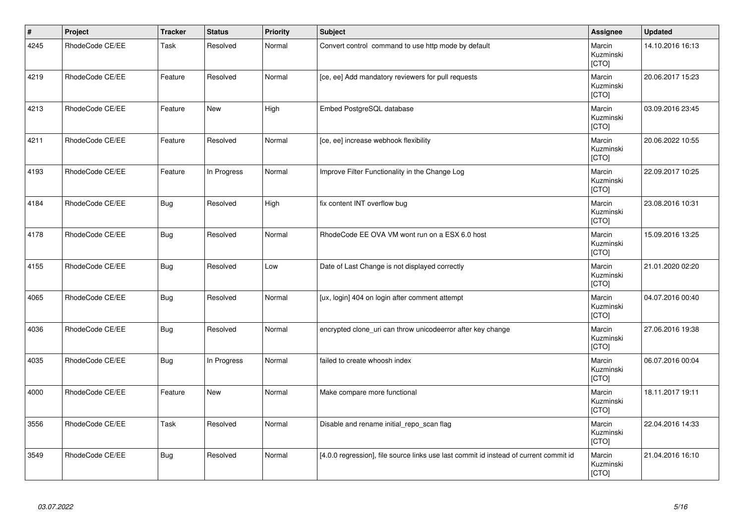| $\vert$ # | Project         | <b>Tracker</b> | <b>Status</b> | <b>Priority</b> | Subject                                                                               | Assignee                     | <b>Updated</b>   |
|-----------|-----------------|----------------|---------------|-----------------|---------------------------------------------------------------------------------------|------------------------------|------------------|
| 4245      | RhodeCode CE/EE | Task           | Resolved      | Normal          | Convert control command to use http mode by default                                   | Marcin<br>Kuzminski<br>[CTO] | 14.10.2016 16:13 |
| 4219      | RhodeCode CE/EE | Feature        | Resolved      | Normal          | [ce, ee] Add mandatory reviewers for pull requests                                    | Marcin<br>Kuzminski<br>[CTO] | 20.06.2017 15:23 |
| 4213      | RhodeCode CE/EE | Feature        | <b>New</b>    | High            | Embed PostgreSQL database                                                             | Marcin<br>Kuzminski<br>[CTO] | 03.09.2016 23:45 |
| 4211      | RhodeCode CE/EE | Feature        | Resolved      | Normal          | [ce, ee] increase webhook flexibility                                                 | Marcin<br>Kuzminski<br>[CTO] | 20.06.2022 10:55 |
| 4193      | RhodeCode CE/EE | Feature        | In Progress   | Normal          | Improve Filter Functionality in the Change Log                                        | Marcin<br>Kuzminski<br>[CTO] | 22.09.2017 10:25 |
| 4184      | RhodeCode CE/EE | <b>Bug</b>     | Resolved      | High            | fix content INT overflow bug                                                          | Marcin<br>Kuzminski<br>[CTO] | 23.08.2016 10:31 |
| 4178      | RhodeCode CE/EE | <b>Bug</b>     | Resolved      | Normal          | RhodeCode EE OVA VM wont run on a ESX 6.0 host                                        | Marcin<br>Kuzminski<br>[CTO] | 15.09.2016 13:25 |
| 4155      | RhodeCode CE/EE | <b>Bug</b>     | Resolved      | Low             | Date of Last Change is not displayed correctly                                        | Marcin<br>Kuzminski<br>[CTO] | 21.01.2020 02:20 |
| 4065      | RhodeCode CE/EE | <b>Bug</b>     | Resolved      | Normal          | [ux, login] 404 on login after comment attempt                                        | Marcin<br>Kuzminski<br>[CTO] | 04.07.2016 00:40 |
| 4036      | RhodeCode CE/EE | <b>Bug</b>     | Resolved      | Normal          | encrypted clone_uri can throw unicodeerror after key change                           | Marcin<br>Kuzminski<br>[CTO] | 27.06.2016 19:38 |
| 4035      | RhodeCode CE/EE | <b>Bug</b>     | In Progress   | Normal          | failed to create whoosh index                                                         | Marcin<br>Kuzminski<br>[CTO] | 06.07.2016 00:04 |
| 4000      | RhodeCode CE/EE | Feature        | New           | Normal          | Make compare more functional                                                          | Marcin<br>Kuzminski<br>[CTO] | 18.11.2017 19:11 |
| 3556      | RhodeCode CE/EE | Task           | Resolved      | Normal          | Disable and rename initial_repo_scan flag                                             | Marcin<br>Kuzminski<br>[CTO] | 22.04.2016 14:33 |
| 3549      | RhodeCode CE/EE | <b>Bug</b>     | Resolved      | Normal          | [4.0.0 regression], file source links use last commit id instead of current commit id | Marcin<br>Kuzminski<br>[CTO] | 21.04.2016 16:10 |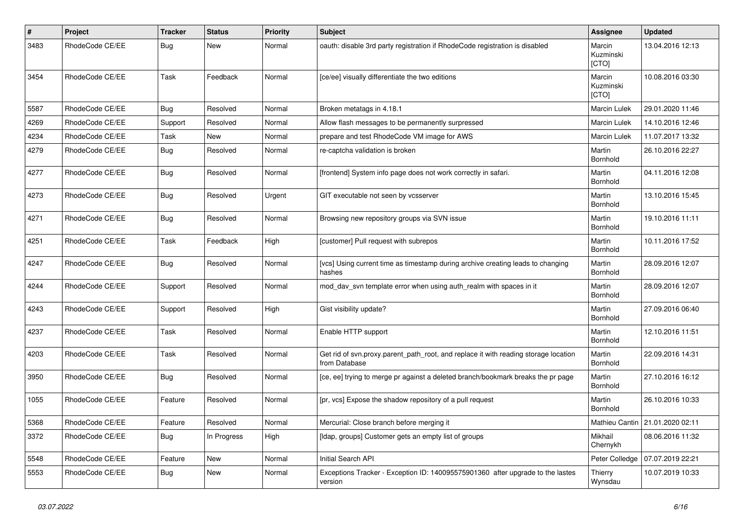| #    | Project         | <b>Tracker</b> | <b>Status</b> | <b>Priority</b> | <b>Subject</b>                                                                                       | <b>Assignee</b>              | <b>Updated</b>                  |
|------|-----------------|----------------|---------------|-----------------|------------------------------------------------------------------------------------------------------|------------------------------|---------------------------------|
| 3483 | RhodeCode CE/EE | Bug            | New           | Normal          | oauth: disable 3rd party registration if RhodeCode registration is disabled                          | Marcin<br>Kuzminski<br>[CTO] | 13.04.2016 12:13                |
| 3454 | RhodeCode CE/EE | Task           | Feedback      | Normal          | [ce/ee] visually differentiate the two editions                                                      | Marcin<br>Kuzminski<br>[CTO] | 10.08.2016 03:30                |
| 5587 | RhodeCode CE/EE | Bug            | Resolved      | Normal          | Broken metatags in 4.18.1                                                                            | <b>Marcin Lulek</b>          | 29.01.2020 11:46                |
| 4269 | RhodeCode CE/EE | Support        | Resolved      | Normal          | Allow flash messages to be permanently surpressed                                                    | Marcin Lulek                 | 14.10.2016 12:46                |
| 4234 | RhodeCode CE/EE | Task           | New           | Normal          | prepare and test RhodeCode VM image for AWS                                                          | Marcin Lulek                 | 11.07.2017 13:32                |
| 4279 | RhodeCode CE/EE | Bug            | Resolved      | Normal          | re-captcha validation is broken                                                                      | Martin<br>Bornhold           | 26.10.2016 22:27                |
| 4277 | RhodeCode CE/EE | Bug            | Resolved      | Normal          | [frontend] System info page does not work correctly in safari.                                       | Martin<br>Bornhold           | 04.11.2016 12:08                |
| 4273 | RhodeCode CE/EE | Bug            | Resolved      | Urgent          | GIT executable not seen by vcsserver                                                                 | Martin<br>Bornhold           | 13.10.2016 15:45                |
| 4271 | RhodeCode CE/EE | Bug            | Resolved      | Normal          | Browsing new repository groups via SVN issue                                                         | Martin<br>Bornhold           | 19.10.2016 11:11                |
| 4251 | RhodeCode CE/EE | Task           | Feedback      | High            | [customer] Pull request with subrepos                                                                | Martin<br>Bornhold           | 10.11.2016 17:52                |
| 4247 | RhodeCode CE/EE | Bug            | Resolved      | Normal          | [vcs] Using current time as timestamp during archive creating leads to changing<br>hashes            | Martin<br>Bornhold           | 28.09.2016 12:07                |
| 4244 | RhodeCode CE/EE | Support        | Resolved      | Normal          | mod day syn template error when using auth realm with spaces in it                                   | Martin<br>Bornhold           | 28.09.2016 12:07                |
| 4243 | RhodeCode CE/EE | Support        | Resolved      | High            | Gist visibility update?                                                                              | Martin<br>Bornhold           | 27.09.2016 06:40                |
| 4237 | RhodeCode CE/EE | Task           | Resolved      | Normal          | Enable HTTP support                                                                                  | Martin<br>Bornhold           | 12.10.2016 11:51                |
| 4203 | RhodeCode CE/EE | Task           | Resolved      | Normal          | Get rid of svn.proxy.parent_path_root, and replace it with reading storage location<br>from Database | Martin<br>Bornhold           | 22.09.2016 14:31                |
| 3950 | RhodeCode CE/EE | Bug            | Resolved      | Normal          | [ce, ee] trying to merge pr against a deleted branch/bookmark breaks the pr page                     | Martin<br>Bornhold           | 27.10.2016 16:12                |
| 1055 | RhodeCode CE/EE | Feature        | Resolved      | Normal          | [pr, vcs] Expose the shadow repository of a pull request                                             | Martin<br>Bornhold           | 26.10.2016 10:33                |
| 5368 | RhodeCode CE/EE | Feature        | Resolved      | Normal          | Mercurial: Close branch before merging it                                                            |                              | Mathieu Cantin 21.01.2020 02:11 |
| 3372 | RhodeCode CE/EE | Bug            | In Progress   | High            | [Idap, groups] Customer gets an empty list of groups                                                 | Mikhail<br>Chernykh          | 08.06.2016 11:32                |
| 5548 | RhodeCode CE/EE | Feature        | New           | Normal          | Initial Search API                                                                                   | Peter Colledge               | 07.07.2019 22:21                |
| 5553 | RhodeCode CE/EE | Bug            | New           | Normal          | Exceptions Tracker - Exception ID: 140095575901360 after upgrade to the lastes<br>version            | Thierry<br>Wynsdau           | 10.07.2019 10:33                |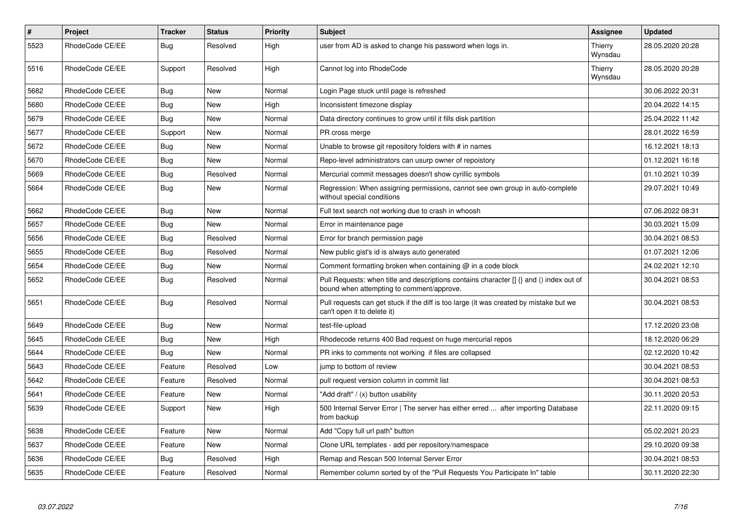| $\pmb{\#}$ | <b>Project</b>  | <b>Tracker</b> | <b>Status</b> | <b>Priority</b> | <b>Subject</b>                                                                                                                       | Assignee           | <b>Updated</b>   |
|------------|-----------------|----------------|---------------|-----------------|--------------------------------------------------------------------------------------------------------------------------------------|--------------------|------------------|
| 5523       | RhodeCode CE/EE | Bug            | Resolved      | High            | user from AD is asked to change his password when logs in.                                                                           | Thierry<br>Wynsdau | 28.05.2020 20:28 |
| 5516       | RhodeCode CE/EE | Support        | Resolved      | High            | Cannot log into RhodeCode                                                                                                            | Thierry<br>Wynsdau | 28.05.2020 20:28 |
| 5682       | RhodeCode CE/EE | Bug            | <b>New</b>    | Normal          | Login Page stuck until page is refreshed                                                                                             |                    | 30.06.2022 20:31 |
| 5680       | RhodeCode CE/EE | Bug            | New           | High            | Inconsistent timezone display                                                                                                        |                    | 20.04.2022 14:15 |
| 5679       | RhodeCode CE/EE | Bug            | New           | Normal          | Data directory continues to grow until it fills disk partition                                                                       |                    | 25.04.2022 11:42 |
| 5677       | RhodeCode CE/EE | Support        | New           | Normal          | PR cross merge                                                                                                                       |                    | 28.01.2022 16:59 |
| 5672       | RhodeCode CE/EE | Bug            | New           | Normal          | Unable to browse git repository folders with # in names                                                                              |                    | 16.12.2021 18:13 |
| 5670       | RhodeCode CE/EE | Bug            | <b>New</b>    | Normal          | Repo-level administrators can usurp owner of repoistory                                                                              |                    | 01.12.2021 16:18 |
| 5669       | RhodeCode CE/EE | Bug            | Resolved      | Normal          | Mercurial commit messages doesn't show cyrillic symbols                                                                              |                    | 01.10.2021 10:39 |
| 5664       | RhodeCode CE/EE | Bug            | <b>New</b>    | Normal          | Regression: When assigning permissions, cannot see own group in auto-complete<br>without special conditions                          |                    | 29.07.2021 10:49 |
| 5662       | RhodeCode CE/EE | <b>Bug</b>     | New           | Normal          | Full text search not working due to crash in whoosh                                                                                  |                    | 07.06.2022 08:31 |
| 5657       | RhodeCode CE/EE | <b>Bug</b>     | <b>New</b>    | Normal          | Error in maintenance page                                                                                                            |                    | 30.03.2021 15:09 |
| 5656       | RhodeCode CE/EE | Bug            | Resolved      | Normal          | Error for branch permission page                                                                                                     |                    | 30.04.2021 08:53 |
| 5655       | RhodeCode CE/EE | Bug            | Resolved      | Normal          | New public gist's id is always auto generated                                                                                        |                    | 01.07.2021 12:06 |
| 5654       | RhodeCode CE/EE | Bug            | New           | Normal          | Comment formatting broken when containing $@$ in a code block                                                                        |                    | 24.02.2021 12:10 |
| 5652       | RhodeCode CE/EE | Bug            | Resolved      | Normal          | Pull Requests: when title and descriptions contains character [] {} and () index out of<br>bound when attempting to comment/approve. |                    | 30.04.2021 08:53 |
| 5651       | RhodeCode CE/EE | <b>Bug</b>     | Resolved      | Normal          | Pull requests can get stuck if the diff is too large (it was created by mistake but we<br>can't open it to delete it)                |                    | 30.04.2021 08:53 |
| 5649       | RhodeCode CE/EE | Bug            | <b>New</b>    | Normal          | test-file-upload                                                                                                                     |                    | 17.12.2020 23:08 |
| 5645       | RhodeCode CE/EE | Bug            | <b>New</b>    | High            | Rhodecode returns 400 Bad request on huge mercurial repos                                                                            |                    | 18.12.2020 06:29 |
| 5644       | RhodeCode CE/EE | Bug            | <b>New</b>    | Normal          | PR inks to comments not working if files are collapsed                                                                               |                    | 02.12.2020 10:42 |
| 5643       | RhodeCode CE/EE | Feature        | Resolved      | Low             | jump to bottom of review                                                                                                             |                    | 30.04.2021 08:53 |
| 5642       | RhodeCode CE/EE | Feature        | Resolved      | Normal          | pull request version column in commit list                                                                                           |                    | 30.04.2021 08:53 |
| 5641       | RhodeCode CE/EE | Feature        | <b>New</b>    | Normal          | 'Add draft" / (x) button usability                                                                                                   |                    | 30.11.2020 20:53 |
| 5639       | RhodeCode CE/EE | Support        | New           | High            | 500 Internal Server Error   The server has either erred  after importing Database<br>from backup                                     |                    | 22.11.2020 09:15 |
| 5638       | RhodeCode CE/EE | Feature        | <b>New</b>    | Normal          | Add "Copy full url path" button                                                                                                      |                    | 05.02.2021 20:23 |
| 5637       | RhodeCode CE/EE | Feature        | <b>New</b>    | Normal          | Clone URL templates - add per repository/namespace                                                                                   |                    | 29.10.2020 09:38 |
| 5636       | RhodeCode CE/EE | Bug            | Resolved      | High            | Remap and Rescan 500 Internal Server Error                                                                                           |                    | 30.04.2021 08:53 |
| 5635       | RhodeCode CE/EE | Feature        | Resolved      | Normal          | Remember column sorted by of the "Pull Requests You Participate In" table                                                            |                    | 30.11.2020 22:30 |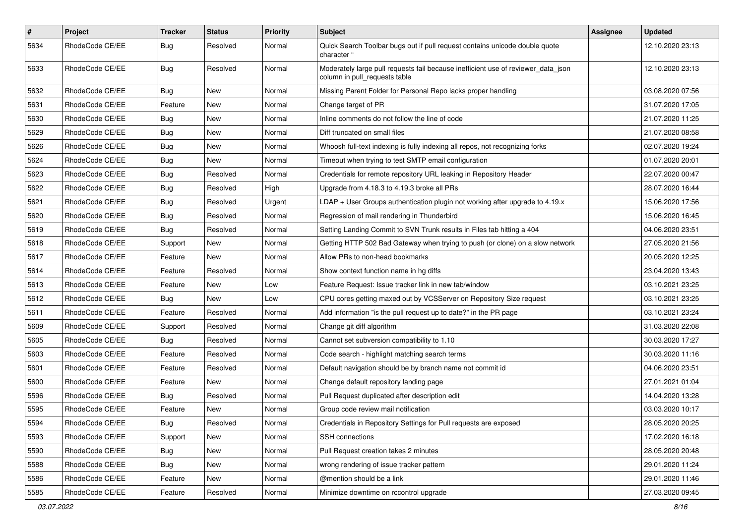| $\pmb{\#}$ | <b>Project</b>  | <b>Tracker</b> | <b>Status</b> | <b>Priority</b> | <b>Subject</b>                                                                                                     | Assignee | <b>Updated</b>   |
|------------|-----------------|----------------|---------------|-----------------|--------------------------------------------------------------------------------------------------------------------|----------|------------------|
| 5634       | RhodeCode CE/EE | Bug            | Resolved      | Normal          | Quick Search Toolbar bugs out if pull request contains unicode double quote<br>character "                         |          | 12.10.2020 23:13 |
| 5633       | RhodeCode CE/EE | Bug            | Resolved      | Normal          | Moderately large pull requests fail because inefficient use of reviewer_data_json<br>column in pull requests table |          | 12.10.2020 23:13 |
| 5632       | RhodeCode CE/EE | Bug            | <b>New</b>    | Normal          | Missing Parent Folder for Personal Repo lacks proper handling                                                      |          | 03.08.2020 07:56 |
| 5631       | RhodeCode CE/EE | Feature        | New           | Normal          | Change target of PR                                                                                                |          | 31.07.2020 17:05 |
| 5630       | RhodeCode CE/EE | <b>Bug</b>     | New           | Normal          | Inline comments do not follow the line of code                                                                     |          | 21.07.2020 11:25 |
| 5629       | RhodeCode CE/EE | Bug            | New           | Normal          | Diff truncated on small files                                                                                      |          | 21.07.2020 08:58 |
| 5626       | RhodeCode CE/EE | Bug            | <b>New</b>    | Normal          | Whoosh full-text indexing is fully indexing all repos, not recognizing forks                                       |          | 02.07.2020 19:24 |
| 5624       | RhodeCode CE/EE | <b>Bug</b>     | New           | Normal          | Timeout when trying to test SMTP email configuration                                                               |          | 01.07.2020 20:01 |
| 5623       | RhodeCode CE/EE | <b>Bug</b>     | Resolved      | Normal          | Credentials for remote repository URL leaking in Repository Header                                                 |          | 22.07.2020 00:47 |
| 5622       | RhodeCode CE/EE | Bug            | Resolved      | High            | Upgrade from 4.18.3 to 4.19.3 broke all PRs                                                                        |          | 28.07.2020 16:44 |
| 5621       | RhodeCode CE/EE | Bug            | Resolved      | Urgent          | LDAP + User Groups authentication plugin not working after upgrade to 4.19.x                                       |          | 15.06.2020 17:56 |
| 5620       | RhodeCode CE/EE | <b>Bug</b>     | Resolved      | Normal          | Regression of mail rendering in Thunderbird                                                                        |          | 15.06.2020 16:45 |
| 5619       | RhodeCode CE/EE | Bug            | Resolved      | Normal          | Setting Landing Commit to SVN Trunk results in Files tab hitting a 404                                             |          | 04.06.2020 23:51 |
| 5618       | RhodeCode CE/EE | Support        | New           | Normal          | Getting HTTP 502 Bad Gateway when trying to push (or clone) on a slow network                                      |          | 27.05.2020 21:56 |
| 5617       | RhodeCode CE/EE | Feature        | New           | Normal          | Allow PRs to non-head bookmarks                                                                                    |          | 20.05.2020 12:25 |
| 5614       | RhodeCode CE/EE | Feature        | Resolved      | Normal          | Show context function name in hq diffs                                                                             |          | 23.04.2020 13:43 |
| 5613       | RhodeCode CE/EE | Feature        | New           | Low             | Feature Request: Issue tracker link in new tab/window                                                              |          | 03.10.2021 23:25 |
| 5612       | RhodeCode CE/EE | Bug            | <b>New</b>    | Low             | CPU cores getting maxed out by VCSServer on Repository Size request                                                |          | 03.10.2021 23:25 |
| 5611       | RhodeCode CE/EE | Feature        | Resolved      | Normal          | Add information "is the pull request up to date?" in the PR page                                                   |          | 03.10.2021 23:24 |
| 5609       | RhodeCode CE/EE | Support        | Resolved      | Normal          | Change git diff algorithm                                                                                          |          | 31.03.2020 22:08 |
| 5605       | RhodeCode CE/EE | Bug            | Resolved      | Normal          | Cannot set subversion compatibility to 1.10                                                                        |          | 30.03.2020 17:27 |
| 5603       | RhodeCode CE/EE | Feature        | Resolved      | Normal          | Code search - highlight matching search terms                                                                      |          | 30.03.2020 11:16 |
| 5601       | RhodeCode CE/EE | Feature        | Resolved      | Normal          | Default navigation should be by branch name not commit id                                                          |          | 04.06.2020 23:51 |
| 5600       | RhodeCode CE/EE | Feature        | <b>New</b>    | Normal          | Change default repository landing page                                                                             |          | 27.01.2021 01:04 |
| 5596       | RhodeCode CE/EE | Bug            | Resolved      | Normal          | Pull Request duplicated after description edit                                                                     |          | 14.04.2020 13:28 |
| 5595       | RhodeCode CE/EE | Feature        | New           | Normal          | Group code review mail notification                                                                                |          | 03.03.2020 10:17 |
| 5594       | RhodeCode CE/EE | <b>Bug</b>     | Resolved      | Normal          | Credentials in Repository Settings for Pull requests are exposed                                                   |          | 28.05.2020 20:25 |
| 5593       | RhodeCode CE/EE | Support        | New           | Normal          | <b>SSH</b> connections                                                                                             |          | 17.02.2020 16:18 |
| 5590       | RhodeCode CE/EE | <b>Bug</b>     | New           | Normal          | Pull Request creation takes 2 minutes                                                                              |          | 28.05.2020 20:48 |
| 5588       | RhodeCode CE/EE | Bug            | New           | Normal          | wrong rendering of issue tracker pattern                                                                           |          | 29.01.2020 11:24 |
| 5586       | RhodeCode CE/EE | Feature        | New           | Normal          | @mention should be a link                                                                                          |          | 29.01.2020 11:46 |
| 5585       | RhodeCode CE/EE | Feature        | Resolved      | Normal          | Minimize downtime on rccontrol upgrade                                                                             |          | 27.03.2020 09:45 |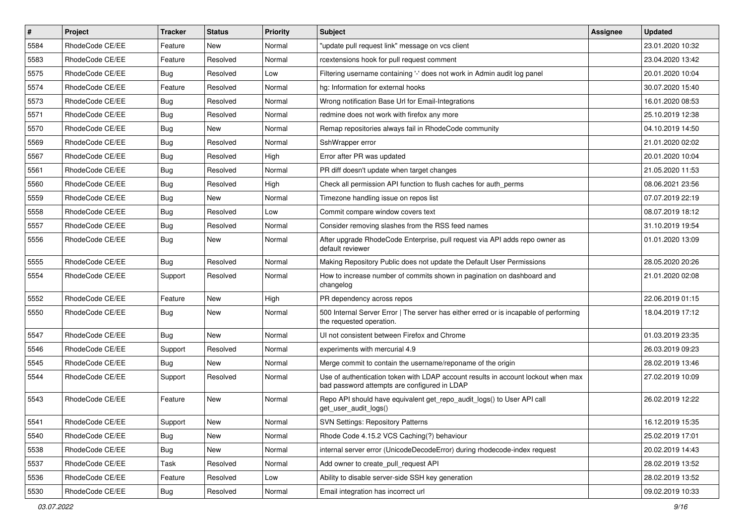| $\#$ | Project         | <b>Tracker</b> | <b>Status</b> | <b>Priority</b> | Subject                                                                                                                           | <b>Assignee</b> | <b>Updated</b>   |
|------|-----------------|----------------|---------------|-----------------|-----------------------------------------------------------------------------------------------------------------------------------|-----------------|------------------|
| 5584 | RhodeCode CE/EE | Feature        | New           | Normal          | "update pull request link" message on vcs client                                                                                  |                 | 23.01.2020 10:32 |
| 5583 | RhodeCode CE/EE | Feature        | Resolved      | Normal          | rcextensions hook for pull request comment                                                                                        |                 | 23.04.2020 13:42 |
| 5575 | RhodeCode CE/EE | Bug            | Resolved      | Low             | Filtering username containing '-' does not work in Admin audit log panel                                                          |                 | 20.01.2020 10:04 |
| 5574 | RhodeCode CE/EE | Feature        | Resolved      | Normal          | hg: Information for external hooks                                                                                                |                 | 30.07.2020 15:40 |
| 5573 | RhodeCode CE/EE | Bug            | Resolved      | Normal          | Wrong notification Base Url for Email-Integrations                                                                                |                 | 16.01.2020 08:53 |
| 5571 | RhodeCode CE/EE | <b>Bug</b>     | Resolved      | Normal          | redmine does not work with firefox any more                                                                                       |                 | 25.10.2019 12:38 |
| 5570 | RhodeCode CE/EE | <b>Bug</b>     | New           | Normal          | Remap repositories always fail in RhodeCode community                                                                             |                 | 04.10.2019 14:50 |
| 5569 | RhodeCode CE/EE | Bug            | Resolved      | Normal          | SshWrapper error                                                                                                                  |                 | 21.01.2020 02:02 |
| 5567 | RhodeCode CE/EE | <b>Bug</b>     | Resolved      | High            | Error after PR was updated                                                                                                        |                 | 20.01.2020 10:04 |
| 5561 | RhodeCode CE/EE | <b>Bug</b>     | Resolved      | Normal          | PR diff doesn't update when target changes                                                                                        |                 | 21.05.2020 11:53 |
| 5560 | RhodeCode CE/EE | Bug            | Resolved      | High            | Check all permission API function to flush caches for auth_perms                                                                  |                 | 08.06.2021 23:56 |
| 5559 | RhodeCode CE/EE | <b>Bug</b>     | New           | Normal          | Timezone handling issue on repos list                                                                                             |                 | 07.07.2019 22:19 |
| 5558 | RhodeCode CE/EE | Bug            | Resolved      | Low             | Commit compare window covers text                                                                                                 |                 | 08.07.2019 18:12 |
| 5557 | RhodeCode CE/EE | <b>Bug</b>     | Resolved      | Normal          | Consider removing slashes from the RSS feed names                                                                                 |                 | 31.10.2019 19:54 |
| 5556 | RhodeCode CE/EE | Bug            | New           | Normal          | After upgrade RhodeCode Enterprise, pull request via API adds repo owner as<br>default reviewer                                   |                 | 01.01.2020 13:09 |
| 5555 | RhodeCode CE/EE | Bug            | Resolved      | Normal          | Making Repository Public does not update the Default User Permissions                                                             |                 | 28.05.2020 20:26 |
| 5554 | RhodeCode CE/EE | Support        | Resolved      | Normal          | How to increase number of commits shown in pagination on dashboard and<br>changelog                                               |                 | 21.01.2020 02:08 |
| 5552 | RhodeCode CE/EE | Feature        | New           | High            | PR dependency across repos                                                                                                        |                 | 22.06.2019 01:15 |
| 5550 | RhodeCode CE/EE | Bug            | New           | Normal          | 500 Internal Server Error   The server has either erred or is incapable of performing<br>the requested operation.                 |                 | 18.04.2019 17:12 |
| 5547 | RhodeCode CE/EE | Bug            | New           | Normal          | UI not consistent between Firefox and Chrome                                                                                      |                 | 01.03.2019 23:35 |
| 5546 | RhodeCode CE/EE | Support        | Resolved      | Normal          | experiments with mercurial 4.9                                                                                                    |                 | 26.03.2019 09:23 |
| 5545 | RhodeCode CE/EE | Bug            | New           | Normal          | Merge commit to contain the username/reponame of the origin                                                                       |                 | 28.02.2019 13:46 |
| 5544 | RhodeCode CE/EE | Support        | Resolved      | Normal          | Use of authentication token with LDAP account results in account lockout when max<br>bad password attempts are configured in LDAP |                 | 27.02.2019 10:09 |
| 5543 | RhodeCode CE/EE | Feature        | New           | Normal          | Repo API should have equivalent get_repo_audit_logs() to User API call<br>get_user_audit_logs()                                   |                 | 26.02.2019 12:22 |
| 5541 | RhodeCode CE/EE | Support        | New           | Normal          | <b>SVN Settings: Repository Patterns</b>                                                                                          |                 | 16.12.2019 15:35 |
| 5540 | RhodeCode CE/EE | Bug            | New           | Normal          | Rhode Code 4.15.2 VCS Caching(?) behaviour                                                                                        |                 | 25.02.2019 17:01 |
| 5538 | RhodeCode CE/EE | <b>Bug</b>     | New           | Normal          | internal server error (UnicodeDecodeError) during rhodecode-index request                                                         |                 | 20.02.2019 14:43 |
| 5537 | RhodeCode CE/EE | Task           | Resolved      | Normal          | Add owner to create pull request API                                                                                              |                 | 28.02.2019 13:52 |
| 5536 | RhodeCode CE/EE | Feature        | Resolved      | Low             | Ability to disable server-side SSH key generation                                                                                 |                 | 28.02.2019 13:52 |
| 5530 | RhodeCode CE/EE | Bug            | Resolved      | Normal          | Email integration has incorrect url                                                                                               |                 | 09.02.2019 10:33 |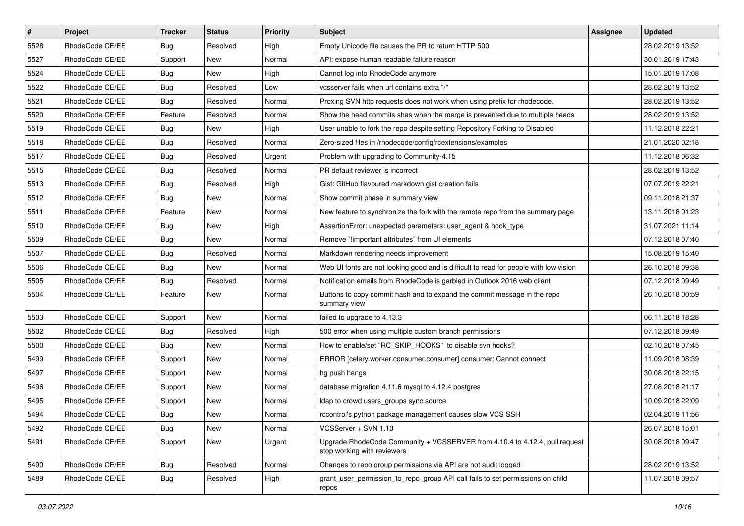| $\vert$ # | Project         | <b>Tracker</b> | <b>Status</b> | <b>Priority</b> | <b>Subject</b>                                                                                             | <b>Assignee</b> | <b>Updated</b>   |
|-----------|-----------------|----------------|---------------|-----------------|------------------------------------------------------------------------------------------------------------|-----------------|------------------|
| 5528      | RhodeCode CE/EE | <b>Bug</b>     | Resolved      | High            | Empty Unicode file causes the PR to return HTTP 500                                                        |                 | 28.02.2019 13:52 |
| 5527      | RhodeCode CE/EE | Support        | <b>New</b>    | Normal          | API: expose human readable failure reason                                                                  |                 | 30.01.2019 17:43 |
| 5524      | RhodeCode CE/EE | Bug            | New           | High            | Cannot log into RhodeCode anymore                                                                          |                 | 15.01.2019 17:08 |
| 5522      | RhodeCode CE/EE | <b>Bug</b>     | Resolved      | Low             | vcsserver fails when url contains extra "/"                                                                |                 | 28.02.2019 13:52 |
| 5521      | RhodeCode CE/EE | Bug            | Resolved      | Normal          | Proxing SVN http requests does not work when using prefix for rhodecode.                                   |                 | 28.02.2019 13:52 |
| 5520      | RhodeCode CE/EE | Feature        | Resolved      | Normal          | Show the head commits shas when the merge is prevented due to multiple heads                               |                 | 28.02.2019 13:52 |
| 5519      | RhodeCode CE/EE | Bug            | New           | High            | User unable to fork the repo despite setting Repository Forking to Disabled                                |                 | 11.12.2018 22:21 |
| 5518      | RhodeCode CE/EE | <b>Bug</b>     | Resolved      | Normal          | Zero-sized files in /rhodecode/config/rcextensions/examples                                                |                 | 21.01.2020 02:18 |
| 5517      | RhodeCode CE/EE | <b>Bug</b>     | Resolved      | Urgent          | Problem with upgrading to Community-4.15                                                                   |                 | 11.12.2018 06:32 |
| 5515      | RhodeCode CE/EE | Bug            | Resolved      | Normal          | PR default reviewer is incorrect                                                                           |                 | 28.02.2019 13:52 |
| 5513      | RhodeCode CE/EE | <b>Bug</b>     | Resolved      | High            | Gist: GitHub flavoured markdown gist creation fails                                                        |                 | 07.07.2019 22:21 |
| 5512      | RhodeCode CE/EE | Bug            | New           | Normal          | Show commit phase in summary view                                                                          |                 | 09.11.2018 21:37 |
| 5511      | RhodeCode CE/EE | Feature        | <b>New</b>    | Normal          | New feature to synchronize the fork with the remote repo from the summary page                             |                 | 13.11.2018 01:23 |
| 5510      | RhodeCode CE/EE | <b>Bug</b>     | New           | High            | AssertionError: unexpected parameters: user_agent & hook_type                                              |                 | 31.07.2021 11:14 |
| 5509      | RhodeCode CE/EE | <b>Bug</b>     | New           | Normal          | Remove `limportant attributes` from UI elements                                                            |                 | 07.12.2018 07:40 |
| 5507      | RhodeCode CE/EE | Bug            | Resolved      | Normal          | Markdown rendering needs improvement                                                                       |                 | 15.08.2019 15:40 |
| 5506      | RhodeCode CE/EE | <b>Bug</b>     | New           | Normal          | Web UI fonts are not looking good and is difficult to read for people with low vision                      |                 | 26.10.2018 09:38 |
| 5505      | RhodeCode CE/EE | Bug            | Resolved      | Normal          | Notification emails from RhodeCode is garbled in Outlook 2016 web client                                   |                 | 07.12.2018 09:49 |
| 5504      | RhodeCode CE/EE | Feature        | New           | Normal          | Buttons to copy commit hash and to expand the commit message in the repo<br>summary view                   |                 | 26.10.2018 00:59 |
| 5503      | RhodeCode CE/EE | Support        | <b>New</b>    | Normal          | failed to upgrade to 4.13.3                                                                                |                 | 06.11.2018 18:28 |
| 5502      | RhodeCode CE/EE | Bug            | Resolved      | High            | 500 error when using multiple custom branch permissions                                                    |                 | 07.12.2018 09:49 |
| 5500      | RhodeCode CE/EE | Bug            | New           | Normal          | How to enable/set "RC_SKIP_HOOKS" to disable svn hooks?                                                    |                 | 02.10.2018 07:45 |
| 5499      | RhodeCode CE/EE | Support        | New           | Normal          | ERROR [celery.worker.consumer.consumer] consumer: Cannot connect                                           |                 | 11.09.2018 08:39 |
| 5497      | RhodeCode CE/EE | Support        | New           | Normal          | hg push hangs                                                                                              |                 | 30.08.2018 22:15 |
| 5496      | RhodeCode CE/EE | Support        | New           | Normal          | database migration 4.11.6 mysql to 4.12.4 postgres                                                         |                 | 27.08.2018 21:17 |
| 5495      | RhodeCode CE/EE | Support        | New           | Normal          | Idap to crowd users_groups sync source                                                                     |                 | 10.09.2018 22:09 |
| 5494      | RhodeCode CE/EE | <b>Bug</b>     | New           | Normal          | rccontrol's python package management causes slow VCS SSH                                                  |                 | 02.04.2019 11:56 |
| 5492      | RhodeCode CE/EE | <b>Bug</b>     | New           | Normal          | VCSServer + SVN 1.10                                                                                       |                 | 26.07.2018 15:01 |
| 5491      | RhodeCode CE/EE | Support        | New           | Urgent          | Upgrade RhodeCode Community + VCSSERVER from 4.10.4 to 4.12.4, pull request<br>stop working with reviewers |                 | 30.08.2018 09:47 |
| 5490      | RhodeCode CE/EE | Bug            | Resolved      | Normal          | Changes to repo group permissions via API are not audit logged                                             |                 | 28.02.2019 13:52 |
| 5489      | RhodeCode CE/EE | Bug            | Resolved      | High            | grant_user_permission_to_repo_group API call fails to set permissions on child<br>repos                    |                 | 11.07.2018 09:57 |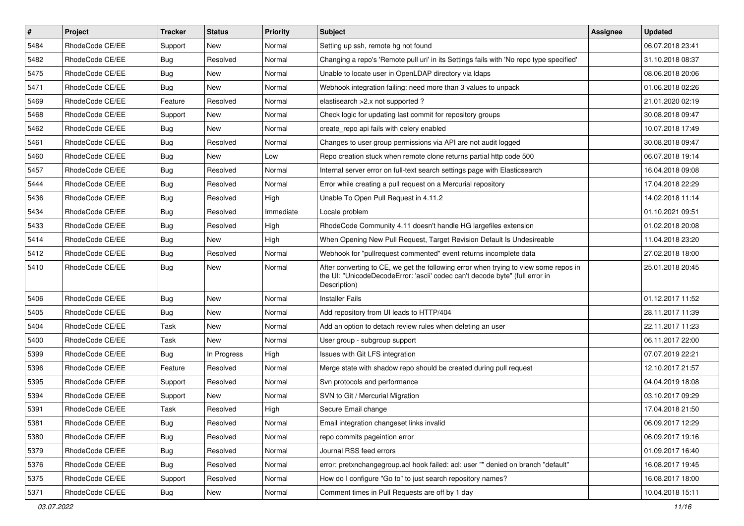| #    | Project         | <b>Tracker</b> | <b>Status</b> | <b>Priority</b> | <b>Subject</b>                                                                                                                                                                       | <b>Assignee</b> | <b>Updated</b>   |
|------|-----------------|----------------|---------------|-----------------|--------------------------------------------------------------------------------------------------------------------------------------------------------------------------------------|-----------------|------------------|
| 5484 | RhodeCode CE/EE | Support        | New           | Normal          | Setting up ssh, remote hg not found                                                                                                                                                  |                 | 06.07.2018 23:41 |
| 5482 | RhodeCode CE/EE | Bug            | Resolved      | Normal          | Changing a repo's 'Remote pull uri' in its Settings fails with 'No repo type specified'                                                                                              |                 | 31.10.2018 08:37 |
| 5475 | RhodeCode CE/EE | Bug            | New           | Normal          | Unable to locate user in OpenLDAP directory via Idaps                                                                                                                                |                 | 08.06.2018 20:06 |
| 5471 | RhodeCode CE/EE | Bug            | New           | Normal          | Webhook integration failing: need more than 3 values to unpack                                                                                                                       |                 | 01.06.2018 02:26 |
| 5469 | RhodeCode CE/EE | Feature        | Resolved      | Normal          | elastisearch > 2.x not supported ?                                                                                                                                                   |                 | 21.01.2020 02:19 |
| 5468 | RhodeCode CE/EE | Support        | New           | Normal          | Check logic for updating last commit for repository groups                                                                                                                           |                 | 30.08.2018 09:47 |
| 5462 | RhodeCode CE/EE | <b>Bug</b>     | New           | Normal          | create_repo api fails with celery enabled                                                                                                                                            |                 | 10.07.2018 17:49 |
| 5461 | RhodeCode CE/EE | Bug            | Resolved      | Normal          | Changes to user group permissions via API are not audit logged                                                                                                                       |                 | 30.08.2018 09:47 |
| 5460 | RhodeCode CE/EE | Bug            | New           | Low             | Repo creation stuck when remote clone returns partial http code 500                                                                                                                  |                 | 06.07.2018 19:14 |
| 5457 | RhodeCode CE/EE | Bug            | Resolved      | Normal          | Internal server error on full-text search settings page with Elasticsearch                                                                                                           |                 | 16.04.2018 09:08 |
| 5444 | RhodeCode CE/EE | Bug            | Resolved      | Normal          | Error while creating a pull request on a Mercurial repository                                                                                                                        |                 | 17.04.2018 22:29 |
| 5436 | RhodeCode CE/EE | Bug            | Resolved      | High            | Unable To Open Pull Request in 4.11.2                                                                                                                                                |                 | 14.02.2018 11:14 |
| 5434 | RhodeCode CE/EE | Bug            | Resolved      | Immediate       | Locale problem                                                                                                                                                                       |                 | 01.10.2021 09:51 |
| 5433 | RhodeCode CE/EE | Bug            | Resolved      | High            | RhodeCode Community 4.11 doesn't handle HG largefiles extension                                                                                                                      |                 | 01.02.2018 20:08 |
| 5414 | RhodeCode CE/EE | Bug            | <b>New</b>    | High            | When Opening New Pull Request, Target Revision Default Is Undesireable                                                                                                               |                 | 11.04.2018 23:20 |
| 5412 | RhodeCode CE/EE | Bug            | Resolved      | Normal          | Webhook for "pullrequest commented" event returns incomplete data                                                                                                                    |                 | 27.02.2018 18:00 |
| 5410 | RhodeCode CE/EE | Bug            | New           | Normal          | After converting to CE, we get the following error when trying to view some repos in<br>the UI: "UnicodeDecodeError: 'ascii' codec can't decode byte" (full error in<br>Description) |                 | 25.01.2018 20:45 |
| 5406 | RhodeCode CE/EE | <b>Bug</b>     | <b>New</b>    | Normal          | <b>Installer Fails</b>                                                                                                                                                               |                 | 01.12.2017 11:52 |
| 5405 | RhodeCode CE/EE | Bug            | <b>New</b>    | Normal          | Add repository from UI leads to HTTP/404                                                                                                                                             |                 | 28.11.2017 11:39 |
| 5404 | RhodeCode CE/EE | Task           | New           | Normal          | Add an option to detach review rules when deleting an user                                                                                                                           |                 | 22.11.2017 11:23 |
| 5400 | RhodeCode CE/EE | Task           | New           | Normal          | User group - subgroup support                                                                                                                                                        |                 | 06.11.2017 22:00 |
| 5399 | RhodeCode CE/EE | <b>Bug</b>     | In Progress   | High            | Issues with Git LFS integration                                                                                                                                                      |                 | 07.07.2019 22:21 |
| 5396 | RhodeCode CE/EE | Feature        | Resolved      | Normal          | Merge state with shadow repo should be created during pull request                                                                                                                   |                 | 12.10.2017 21:57 |
| 5395 | RhodeCode CE/EE | Support        | Resolved      | Normal          | Svn protocols and performance                                                                                                                                                        |                 | 04.04.2019 18:08 |
| 5394 | RhodeCode CE/EE | Support        | New           | Normal          | SVN to Git / Mercurial Migration                                                                                                                                                     |                 | 03.10.2017 09:29 |
| 5391 | RhodeCode CE/EE | Task           | Resolved      | High            | Secure Email change                                                                                                                                                                  |                 | 17.04.2018 21:50 |
| 5381 | RhodeCode CE/EE | <b>Bug</b>     | Resolved      | Normal          | Email integration changeset links invalid                                                                                                                                            |                 | 06.09.2017 12:29 |
| 5380 | RhodeCode CE/EE | Bug            | Resolved      | Normal          | repo commits pageintion error                                                                                                                                                        |                 | 06.09.2017 19:16 |
| 5379 | RhodeCode CE/EE | Bug            | Resolved      | Normal          | Journal RSS feed errors                                                                                                                                                              |                 | 01.09.2017 16:40 |
| 5376 | RhodeCode CE/EE | <b>Bug</b>     | Resolved      | Normal          | error: pretxnchangegroup.acl hook failed: acl: user "" denied on branch "default"                                                                                                    |                 | 16.08.2017 19:45 |
| 5375 | RhodeCode CE/EE | Support        | Resolved      | Normal          | How do I configure "Go to" to just search repository names?                                                                                                                          |                 | 16.08.2017 18:00 |
| 5371 | RhodeCode CE/EE | <b>Bug</b>     | New           | Normal          | Comment times in Pull Requests are off by 1 day                                                                                                                                      |                 | 10.04.2018 15:11 |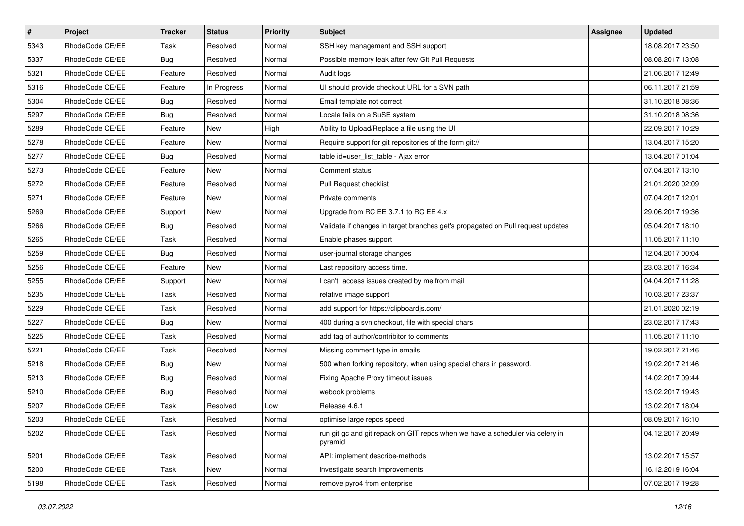| $\sharp$ | Project         | <b>Tracker</b> | <b>Status</b> | Priority | <b>Subject</b>                                                                           | Assignee | <b>Updated</b>   |
|----------|-----------------|----------------|---------------|----------|------------------------------------------------------------------------------------------|----------|------------------|
| 5343     | RhodeCode CE/EE | Task           | Resolved      | Normal   | SSH key management and SSH support                                                       |          | 18.08.2017 23:50 |
| 5337     | RhodeCode CE/EE | Bug            | Resolved      | Normal   | Possible memory leak after few Git Pull Requests                                         |          | 08.08.2017 13:08 |
| 5321     | RhodeCode CE/EE | Feature        | Resolved      | Normal   | Audit logs                                                                               |          | 21.06.2017 12:49 |
| 5316     | RhodeCode CE/EE | Feature        | In Progress   | Normal   | UI should provide checkout URL for a SVN path                                            |          | 06.11.2017 21:59 |
| 5304     | RhodeCode CE/EE | Bug            | Resolved      | Normal   | Email template not correct                                                               |          | 31.10.2018 08:36 |
| 5297     | RhodeCode CE/EE | Bug            | Resolved      | Normal   | Locale fails on a SuSE system                                                            |          | 31.10.2018 08:36 |
| 5289     | RhodeCode CE/EE | Feature        | New           | High     | Ability to Upload/Replace a file using the UI                                            |          | 22.09.2017 10:29 |
| 5278     | RhodeCode CE/EE | Feature        | <b>New</b>    | Normal   | Require support for git repositories of the form git://                                  |          | 13.04.2017 15:20 |
| 5277     | RhodeCode CE/EE | <b>Bug</b>     | Resolved      | Normal   | table id=user_list_table - Ajax error                                                    |          | 13.04.2017 01:04 |
| 5273     | RhodeCode CE/EE | Feature        | <b>New</b>    | Normal   | Comment status                                                                           |          | 07.04.2017 13:10 |
| 5272     | RhodeCode CE/EE | Feature        | Resolved      | Normal   | Pull Request checklist                                                                   |          | 21.01.2020 02:09 |
| 5271     | RhodeCode CE/EE | Feature        | New           | Normal   | Private comments                                                                         |          | 07.04.2017 12:01 |
| 5269     | RhodeCode CE/EE | Support        | <b>New</b>    | Normal   | Upgrade from RC EE 3.7.1 to RC EE 4.x                                                    |          | 29.06.2017 19:36 |
| 5266     | RhodeCode CE/EE | Bug            | Resolved      | Normal   | Validate if changes in target branches get's propagated on Pull request updates          |          | 05.04.2017 18:10 |
| 5265     | RhodeCode CE/EE | Task           | Resolved      | Normal   | Enable phases support                                                                    |          | 11.05.2017 11:10 |
| 5259     | RhodeCode CE/EE | Bug            | Resolved      | Normal   | user-journal storage changes                                                             |          | 12.04.2017 00:04 |
| 5256     | RhodeCode CE/EE | Feature        | New           | Normal   | Last repository access time.                                                             |          | 23.03.2017 16:34 |
| 5255     | RhodeCode CE/EE | Support        | <b>New</b>    | Normal   | I can't access issues created by me from mail                                            |          | 04.04.2017 11:28 |
| 5235     | RhodeCode CE/EE | Task           | Resolved      | Normal   | relative image support                                                                   |          | 10.03.2017 23:37 |
| 5229     | RhodeCode CE/EE | Task           | Resolved      | Normal   | add support for https://clipboardjs.com/                                                 |          | 21.01.2020 02:19 |
| 5227     | RhodeCode CE/EE | Bug            | New           | Normal   | 400 during a svn checkout, file with special chars                                       |          | 23.02.2017 17:43 |
| 5225     | RhodeCode CE/EE | Task           | Resolved      | Normal   | add tag of author/contribitor to comments                                                |          | 11.05.2017 11:10 |
| 5221     | RhodeCode CE/EE | Task           | Resolved      | Normal   | Missing comment type in emails                                                           |          | 19.02.2017 21:46 |
| 5218     | RhodeCode CE/EE | Bug            | New           | Normal   | 500 when forking repository, when using special chars in password.                       |          | 19.02.2017 21:46 |
| 5213     | RhodeCode CE/EE | Bug            | Resolved      | Normal   | Fixing Apache Proxy timeout issues                                                       |          | 14.02.2017 09:44 |
| 5210     | RhodeCode CE/EE | Bug            | Resolved      | Normal   | webook problems                                                                          |          | 13.02.2017 19:43 |
| 5207     | RhodeCode CE/EE | Task           | Resolved      | Low      | Release 4.6.1                                                                            |          | 13.02.2017 18:04 |
| 5203     | RhodeCode CE/EE | Task           | Resolved      | Normal   | optimise large repos speed                                                               |          | 08.09.2017 16:10 |
| 5202     | RhodeCode CE/EE | Task           | Resolved      | Normal   | run git gc and git repack on GIT repos when we have a scheduler via celery in<br>pyramid |          | 04.12.2017 20:49 |
| 5201     | RhodeCode CE/EE | Task           | Resolved      | Normal   | API: implement describe-methods                                                          |          | 13.02.2017 15:57 |
| 5200     | RhodeCode CE/EE | Task           | New           | Normal   | investigate search improvements                                                          |          | 16.12.2019 16:04 |
| 5198     | RhodeCode CE/EE | Task           | Resolved      | Normal   | remove pyro4 from enterprise                                                             |          | 07.02.2017 19:28 |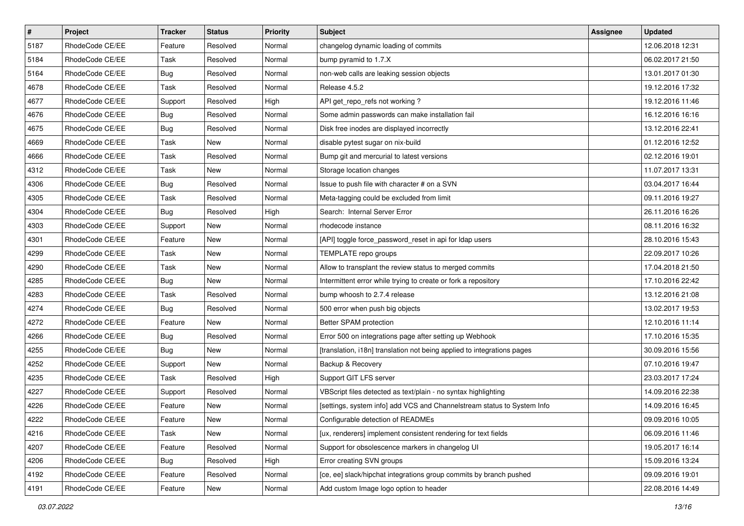| $\pmb{\#}$ | Project         | <b>Tracker</b> | <b>Status</b> | Priority | <b>Subject</b>                                                          | <b>Assignee</b> | <b>Updated</b>   |
|------------|-----------------|----------------|---------------|----------|-------------------------------------------------------------------------|-----------------|------------------|
| 5187       | RhodeCode CE/EE | Feature        | Resolved      | Normal   | changelog dynamic loading of commits                                    |                 | 12.06.2018 12:31 |
| 5184       | RhodeCode CE/EE | Task           | Resolved      | Normal   | bump pyramid to 1.7.X                                                   |                 | 06.02.2017 21:50 |
| 5164       | RhodeCode CE/EE | Bug            | Resolved      | Normal   | non-web calls are leaking session objects                               |                 | 13.01.2017 01:30 |
| 4678       | RhodeCode CE/EE | Task           | Resolved      | Normal   | Release 4.5.2                                                           |                 | 19.12.2016 17:32 |
| 4677       | RhodeCode CE/EE | Support        | Resolved      | High     | API get_repo_refs not working?                                          |                 | 19.12.2016 11:46 |
| 4676       | RhodeCode CE/EE | Bug            | Resolved      | Normal   | Some admin passwords can make installation fail                         |                 | 16.12.2016 16:16 |
| 4675       | RhodeCode CE/EE | <b>Bug</b>     | Resolved      | Normal   | Disk free inodes are displayed incorrectly                              |                 | 13.12.2016 22:41 |
| 4669       | RhodeCode CE/EE | Task           | <b>New</b>    | Normal   | disable pytest sugar on nix-build                                       |                 | 01.12.2016 12:52 |
| 4666       | RhodeCode CE/EE | Task           | Resolved      | Normal   | Bump git and mercurial to latest versions                               |                 | 02.12.2016 19:01 |
| 4312       | RhodeCode CE/EE | Task           | <b>New</b>    | Normal   | Storage location changes                                                |                 | 11.07.2017 13:31 |
| 4306       | RhodeCode CE/EE | Bug            | Resolved      | Normal   | Issue to push file with character # on a SVN                            |                 | 03.04.2017 16:44 |
| 4305       | RhodeCode CE/EE | Task           | Resolved      | Normal   | Meta-tagging could be excluded from limit                               |                 | 09.11.2016 19:27 |
| 4304       | RhodeCode CE/EE | Bug            | Resolved      | High     | Search: Internal Server Error                                           |                 | 26.11.2016 16:26 |
| 4303       | RhodeCode CE/EE | Support        | <b>New</b>    | Normal   | rhodecode instance                                                      |                 | 08.11.2016 16:32 |
| 4301       | RhodeCode CE/EE | Feature        | <b>New</b>    | Normal   | [API] toggle force_password_reset in api for Idap users                 |                 | 28.10.2016 15:43 |
| 4299       | RhodeCode CE/EE | Task           | New           | Normal   | TEMPLATE repo groups                                                    |                 | 22.09.2017 10:26 |
| 4290       | RhodeCode CE/EE | Task           | New           | Normal   | Allow to transplant the review status to merged commits                 |                 | 17.04.2018 21:50 |
| 4285       | RhodeCode CE/EE | Bug            | <b>New</b>    | Normal   | Intermittent error while trying to create or fork a repository          |                 | 17.10.2016 22:42 |
| 4283       | RhodeCode CE/EE | Task           | Resolved      | Normal   | bump whoosh to 2.7.4 release                                            |                 | 13.12.2016 21:08 |
| 4274       | RhodeCode CE/EE | Bug            | Resolved      | Normal   | 500 error when push big objects                                         |                 | 13.02.2017 19:53 |
| 4272       | RhodeCode CE/EE | Feature        | <b>New</b>    | Normal   | Better SPAM protection                                                  |                 | 12.10.2016 11:14 |
| 4266       | RhodeCode CE/EE | Bug            | Resolved      | Normal   | Error 500 on integrations page after setting up Webhook                 |                 | 17.10.2016 15:35 |
| 4255       | RhodeCode CE/EE | Bug            | <b>New</b>    | Normal   | [translation, i18n] translation not being applied to integrations pages |                 | 30.09.2016 15:56 |
| 4252       | RhodeCode CE/EE | Support        | <b>New</b>    | Normal   | Backup & Recovery                                                       |                 | 07.10.2016 19:47 |
| 4235       | RhodeCode CE/EE | Task           | Resolved      | High     | Support GIT LFS server                                                  |                 | 23.03.2017 17:24 |
| 4227       | RhodeCode CE/EE | Support        | Resolved      | Normal   | VBScript files detected as text/plain - no syntax highlighting          |                 | 14.09.2016 22:38 |
| 4226       | RhodeCode CE/EE | Feature        | New           | Normal   | [settings, system info] add VCS and Channelstream status to System Info |                 | 14.09.2016 16:45 |
| 4222       | RhodeCode CE/EE | Feature        | New           | Normal   | Configurable detection of READMEs                                       |                 | 09.09.2016 10:05 |
| 4216       | RhodeCode CE/EE | Task           | New           | Normal   | [ux, renderers] implement consistent rendering for text fields          |                 | 06.09.2016 11:46 |
| 4207       | RhodeCode CE/EE | Feature        | Resolved      | Normal   | Support for obsolescence markers in changelog UI                        |                 | 19.05.2017 16:14 |
| 4206       | RhodeCode CE/EE | Bug            | Resolved      | High     | Error creating SVN groups                                               |                 | 15.09.2016 13:24 |
| 4192       | RhodeCode CE/EE | Feature        | Resolved      | Normal   | [ce, ee] slack/hipchat integrations group commits by branch pushed      |                 | 09.09.2016 19:01 |
| 4191       | RhodeCode CE/EE | Feature        | New           | Normal   | Add custom Image logo option to header                                  |                 | 22.08.2016 14:49 |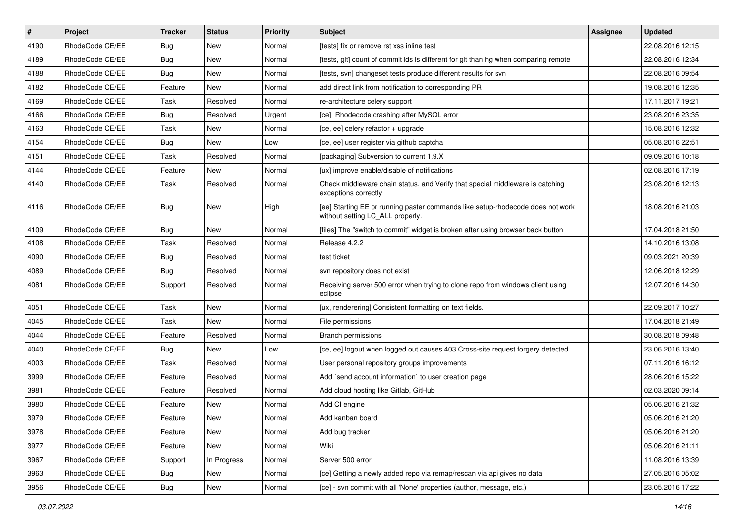| $\pmb{\#}$ | Project         | <b>Tracker</b> | <b>Status</b> | <b>Priority</b> | <b>Subject</b>                                                                                                     | <b>Assignee</b> | <b>Updated</b>   |
|------------|-----------------|----------------|---------------|-----------------|--------------------------------------------------------------------------------------------------------------------|-----------------|------------------|
| 4190       | RhodeCode CE/EE | <b>Bug</b>     | New           | Normal          | [tests] fix or remove rst xss inline test                                                                          |                 | 22.08.2016 12:15 |
| 4189       | RhodeCode CE/EE | Bug            | New           | Normal          | [tests, git] count of commit ids is different for git than hg when comparing remote                                |                 | 22.08.2016 12:34 |
| 4188       | RhodeCode CE/EE | Bug            | New           | Normal          | [tests, svn] changeset tests produce different results for svn                                                     |                 | 22.08.2016 09:54 |
| 4182       | RhodeCode CE/EE | Feature        | <b>New</b>    | Normal          | add direct link from notification to corresponding PR                                                              |                 | 19.08.2016 12:35 |
| 4169       | RhodeCode CE/EE | <b>Task</b>    | Resolved      | Normal          | re-architecture celery support                                                                                     |                 | 17.11.2017 19:21 |
| 4166       | RhodeCode CE/EE | Bug            | Resolved      | Urgent          | [ce] Rhodecode crashing after MySQL error                                                                          |                 | 23.08.2016 23:35 |
| 4163       | RhodeCode CE/EE | Task           | New           | Normal          | [ce, ee] celery refactor + upgrade                                                                                 |                 | 15.08.2016 12:32 |
| 4154       | RhodeCode CE/EE | Bug            | <b>New</b>    | Low             | [ce, ee] user register via github captcha                                                                          |                 | 05.08.2016 22:51 |
| 4151       | RhodeCode CE/EE | Task           | Resolved      | Normal          | [packaging] Subversion to current 1.9.X                                                                            |                 | 09.09.2016 10:18 |
| 4144       | RhodeCode CE/EE | Feature        | <b>New</b>    | Normal          | [ux] improve enable/disable of notifications                                                                       |                 | 02.08.2016 17:19 |
| 4140       | RhodeCode CE/EE | Task           | Resolved      | Normal          | Check middleware chain status, and Verify that special middleware is catching<br>exceptions correctly              |                 | 23.08.2016 12:13 |
| 4116       | RhodeCode CE/EE | Bug            | <b>New</b>    | High            | [ee] Starting EE or running paster commands like setup-rhodecode does not work<br>without setting LC_ALL properly. |                 | 18.08.2016 21:03 |
| 4109       | RhodeCode CE/EE | <b>Bug</b>     | New           | Normal          | [files] The "switch to commit" widget is broken after using browser back button                                    |                 | 17.04.2018 21:50 |
| 4108       | RhodeCode CE/EE | Task           | Resolved      | Normal          | Release 4.2.2                                                                                                      |                 | 14.10.2016 13:08 |
| 4090       | RhodeCode CE/EE | Bug            | Resolved      | Normal          | test ticket                                                                                                        |                 | 09.03.2021 20:39 |
| 4089       | RhodeCode CE/EE | Bug            | Resolved      | Normal          | svn repository does not exist                                                                                      |                 | 12.06.2018 12:29 |
| 4081       | RhodeCode CE/EE | Support        | Resolved      | Normal          | Receiving server 500 error when trying to clone repo from windows client using<br>eclipse                          |                 | 12.07.2016 14:30 |
| 4051       | RhodeCode CE/EE | Task           | <b>New</b>    | Normal          | [ux, renderering] Consistent formatting on text fields.                                                            |                 | 22.09.2017 10:27 |
| 4045       | RhodeCode CE/EE | Task           | New           | Normal          | File permissions                                                                                                   |                 | 17.04.2018 21:49 |
| 4044       | RhodeCode CE/EE | Feature        | Resolved      | Normal          | <b>Branch permissions</b>                                                                                          |                 | 30.08.2018 09:48 |
| 4040       | RhodeCode CE/EE | Bug            | New           | Low             | [ce, ee] logout when logged out causes 403 Cross-site request forgery detected                                     |                 | 23.06.2016 13:40 |
| 4003       | RhodeCode CE/EE | Task           | Resolved      | Normal          | User personal repository groups improvements                                                                       |                 | 07.11.2016 16:12 |
| 3999       | RhodeCode CE/EE | Feature        | Resolved      | Normal          | Add `send account information` to user creation page                                                               |                 | 28.06.2016 15:22 |
| 3981       | RhodeCode CE/EE | Feature        | Resolved      | Normal          | Add cloud hosting like Gitlab, GitHub                                                                              |                 | 02.03.2020 09:14 |
| 3980       | RhodeCode CE/EE | Feature        | New           | Normal          | Add CI engine                                                                                                      |                 | 05.06.2016 21:32 |
| 3979       | RhodeCode CE/EE | Feature        | New           | Normal          | Add kanban board                                                                                                   |                 | 05.06.2016 21:20 |
| 3978       | RhodeCode CE/EE | Feature        | New           | Normal          | Add bug tracker                                                                                                    |                 | 05.06.2016 21:20 |
| 3977       | RhodeCode CE/EE | Feature        | New           | Normal          | Wiki                                                                                                               |                 | 05.06.2016 21:11 |
| 3967       | RhodeCode CE/EE | Support        | In Progress   | Normal          | Server 500 error                                                                                                   |                 | 11.08.2016 13:39 |
| 3963       | RhodeCode CE/EE | Bug            | New           | Normal          | [ce] Getting a newly added repo via remap/rescan via api gives no data                                             |                 | 27.05.2016 05:02 |
| 3956       | RhodeCode CE/EE | Bug            | New           | Normal          | [ce] - svn commit with all 'None' properties (author, message, etc.)                                               |                 | 23.05.2016 17:22 |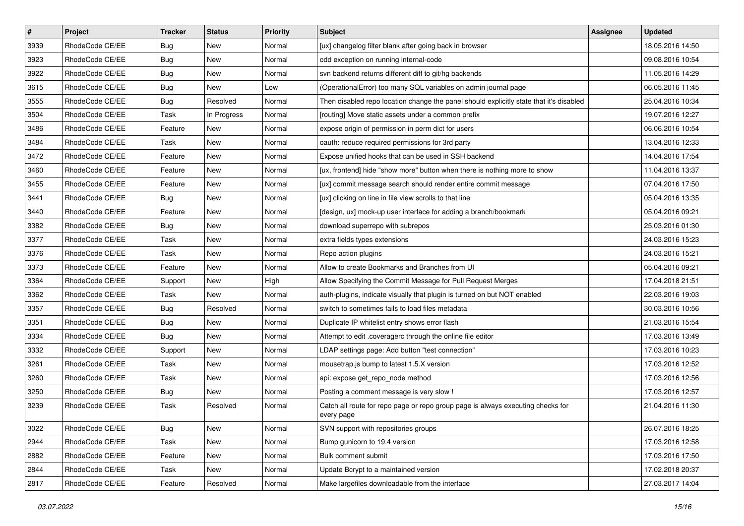| $\vert$ # | Project         | <b>Tracker</b> | <b>Status</b> | Priority | <b>Subject</b>                                                                                | <b>Assignee</b> | <b>Updated</b>   |
|-----------|-----------------|----------------|---------------|----------|-----------------------------------------------------------------------------------------------|-----------------|------------------|
| 3939      | RhodeCode CE/EE | <b>Bug</b>     | New           | Normal   | [ux] changelog filter blank after going back in browser                                       |                 | 18.05.2016 14:50 |
| 3923      | RhodeCode CE/EE | Bug            | <b>New</b>    | Normal   | odd exception on running internal-code                                                        |                 | 09.08.2016 10:54 |
| 3922      | RhodeCode CE/EE | <b>Bug</b>     | New           | Normal   | svn backend returns different diff to git/hg backends                                         |                 | 11.05.2016 14:29 |
| 3615      | RhodeCode CE/EE | <b>Bug</b>     | New           | Low      | (OperationalError) too many SQL variables on admin journal page                               |                 | 06.05.2016 11:45 |
| 3555      | RhodeCode CE/EE | <b>Bug</b>     | Resolved      | Normal   | Then disabled repo location change the panel should explicitly state that it's disabled       |                 | 25.04.2016 10:34 |
| 3504      | RhodeCode CE/EE | Task           | In Progress   | Normal   | [routing] Move static assets under a common prefix                                            |                 | 19.07.2016 12:27 |
| 3486      | RhodeCode CE/EE | Feature        | New           | Normal   | expose origin of permission in perm dict for users                                            |                 | 06.06.2016 10:54 |
| 3484      | RhodeCode CE/EE | Task           | <b>New</b>    | Normal   | oauth: reduce required permissions for 3rd party                                              |                 | 13.04.2016 12:33 |
| 3472      | RhodeCode CE/EE | Feature        | <b>New</b>    | Normal   | Expose unified hooks that can be used in SSH backend                                          |                 | 14.04.2016 17:54 |
| 3460      | RhodeCode CE/EE | Feature        | <b>New</b>    | Normal   | [ux, frontend] hide "show more" button when there is nothing more to show                     |                 | 11.04.2016 13:37 |
| 3455      | RhodeCode CE/EE | Feature        | New           | Normal   | [ux] commit message search should render entire commit message                                |                 | 07.04.2016 17:50 |
| 3441      | RhodeCode CE/EE | Bug            | New           | Normal   | [ux] clicking on line in file view scrolls to that line                                       |                 | 05.04.2016 13:35 |
| 3440      | RhodeCode CE/EE | Feature        | <b>New</b>    | Normal   | [design, ux] mock-up user interface for adding a branch/bookmark                              |                 | 05.04.2016 09:21 |
| 3382      | RhodeCode CE/EE | Bug            | New           | Normal   | download superrepo with subrepos                                                              |                 | 25.03.2016 01:30 |
| 3377      | RhodeCode CE/EE | Task           | New           | Normal   | extra fields types extensions                                                                 |                 | 24.03.2016 15:23 |
| 3376      | RhodeCode CE/EE | Task           | New           | Normal   | Repo action plugins                                                                           |                 | 24.03.2016 15:21 |
| 3373      | RhodeCode CE/EE | Feature        | New           | Normal   | Allow to create Bookmarks and Branches from UI                                                |                 | 05.04.2016 09:21 |
| 3364      | RhodeCode CE/EE | Support        | <b>New</b>    | High     | Allow Specifying the Commit Message for Pull Request Merges                                   |                 | 17.04.2018 21:51 |
| 3362      | RhodeCode CE/EE | Task           | New           | Normal   | auth-plugins, indicate visually that plugin is turned on but NOT enabled                      |                 | 22.03.2016 19:03 |
| 3357      | RhodeCode CE/EE | Bug            | Resolved      | Normal   | switch to sometimes fails to load files metadata                                              |                 | 30.03.2016 10:56 |
| 3351      | RhodeCode CE/EE | Bug            | New           | Normal   | Duplicate IP whitelist entry shows error flash                                                |                 | 21.03.2016 15:54 |
| 3334      | RhodeCode CE/EE | Bug            | <b>New</b>    | Normal   | Attempt to edit .coveragerc through the online file editor                                    |                 | 17.03.2016 13:49 |
| 3332      | RhodeCode CE/EE | Support        | <b>New</b>    | Normal   | LDAP settings page: Add button "test connection"                                              |                 | 17.03.2016 10:23 |
| 3261      | RhodeCode CE/EE | Task           | New           | Normal   | mousetrap.js bump to latest 1.5.X version                                                     |                 | 17.03.2016 12:52 |
| 3260      | RhodeCode CE/EE | Task           | New           | Normal   | api: expose get_repo_node method                                                              |                 | 17.03.2016 12:56 |
| 3250      | RhodeCode CE/EE | Bug            | <b>New</b>    | Normal   | Posting a comment message is very slow !                                                      |                 | 17.03.2016 12:57 |
| 3239      | RhodeCode CE/EE | Task           | Resolved      | Normal   | Catch all route for repo page or repo group page is always executing checks for<br>every page |                 | 21.04.2016 11:30 |
| 3022      | RhodeCode CE/EE | Bug            | New           | Normal   | SVN support with repositories groups                                                          |                 | 26.07.2016 18:25 |
| 2944      | RhodeCode CE/EE | Task           | New           | Normal   | Bump gunicorn to 19.4 version                                                                 |                 | 17.03.2016 12:58 |
| 2882      | RhodeCode CE/EE | Feature        | New           | Normal   | Bulk comment submit                                                                           |                 | 17.03.2016 17:50 |
| 2844      | RhodeCode CE/EE | Task           | New           | Normal   | Update Bcrypt to a maintained version                                                         |                 | 17.02.2018 20:37 |
| 2817      | RhodeCode CE/EE | Feature        | Resolved      | Normal   | Make largefiles downloadable from the interface                                               |                 | 27.03.2017 14:04 |